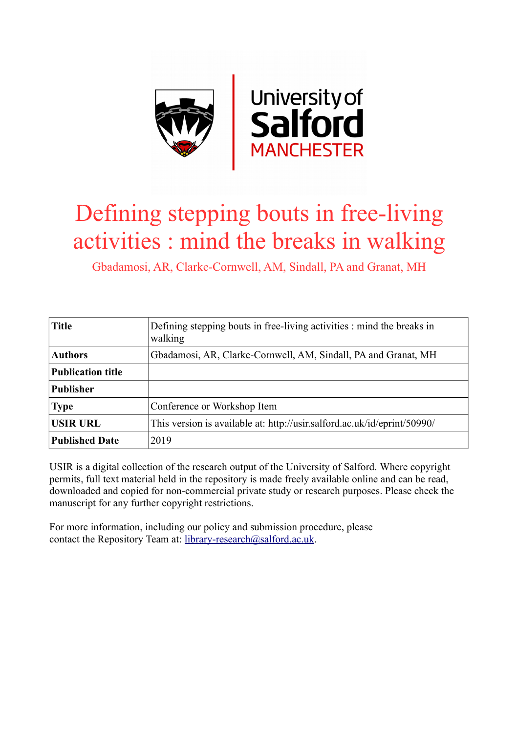

## Defining stepping bouts in free-living activities : mind the breaks in walking

Gbadamosi, AR, Clarke-Cornwell, AM, Sindall, PA and Granat, MH

| <b>Title</b>             | Defining stepping bouts in free-living activities : mind the breaks in<br>walking |
|--------------------------|-----------------------------------------------------------------------------------|
| <b>Authors</b>           | Gbadamosi, AR, Clarke-Cornwell, AM, Sindall, PA and Granat, MH                    |
| <b>Publication title</b> |                                                                                   |
| <b>Publisher</b>         |                                                                                   |
| <b>Type</b>              | Conference or Workshop Item                                                       |
| <b>USIR URL</b>          | This version is available at: http://usir.salford.ac.uk/id/eprint/50990/          |
| <b>Published Date</b>    | 2019                                                                              |

USIR is a digital collection of the research output of the University of Salford. Where copyright permits, full text material held in the repository is made freely available online and can be read, downloaded and copied for non-commercial private study or research purposes. Please check the manuscript for any further copyright restrictions.

For more information, including our policy and submission procedure, please contact the Repository Team at: [library-research@salford.ac.uk.](mailto:library-research@salford.ac.uk)